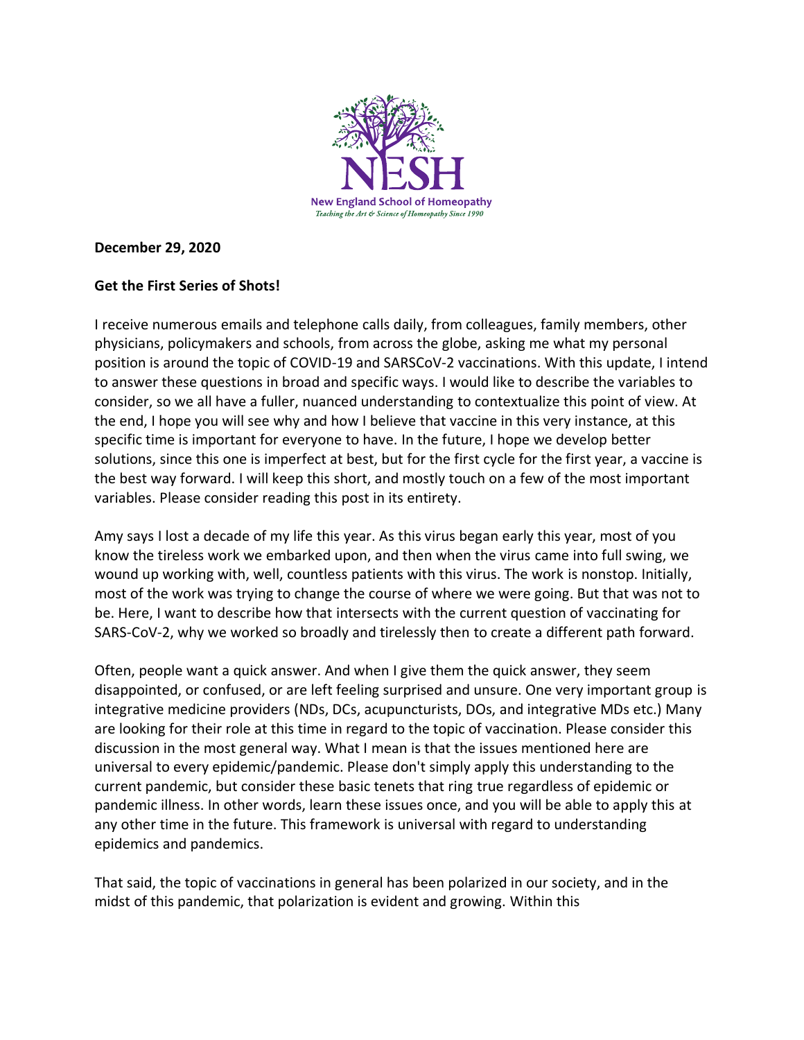

#### **December 29, 2020**

### **Get the First Series of Shots!**

I receive numerous emails and telephone calls daily, from colleagues, family members, other physicians, policymakers and schools, from across the globe, asking me what my personal position is around the topic of COVID-19 and SARSCoV-2 vaccinations. With this update, I intend to answer these questions in broad and specific ways. I would like to describe the variables to consider, so we all have a fuller, nuanced understanding to contextualize this point of view. At the end, I hope you will see why and how I believe that vaccine in this very instance, at this specific time is important for everyone to have. In the future, I hope we develop better solutions, since this one is imperfect at best, but for the first cycle for the first year, a vaccine is the best way forward. I will keep this short, and mostly touch on a few of the most important variables. Please consider reading this post in its entirety.

Amy says I lost a decade of my life this year. As this virus began early this year, most of you know the tireless work we embarked upon, and then when the virus came into full swing, we wound up working with, well, countless patients with this virus. The work is nonstop. Initially, most of the work was trying to change the course of where we were going. But that was not to be. Here, I want to describe how that intersects with the current question of vaccinating for SARS-CoV-2, why we worked so broadly and tirelessly then to create a different path forward.

Often, people want a quick answer. And when I give them the quick answer, they seem disappointed, or confused, or are left feeling surprised and unsure. One very important group is integrative medicine providers (NDs, DCs, acupuncturists, DOs, and integrative MDs etc.) Many are looking for their role at this time in regard to the topic of vaccination. Please consider this discussion in the most general way. What I mean is that the issues mentioned here are universal to every epidemic/pandemic. Please don't simply apply this understanding to the current pandemic, but consider these basic tenets that ring true regardless of epidemic or pandemic illness. In other words, learn these issues once, and you will be able to apply this at any other time in the future. This framework is universal with regard to understanding epidemics and pandemics.

That said, the topic of vaccinations in general has been polarized in our society, and in the midst of this pandemic, that polarization is evident and growing. Within this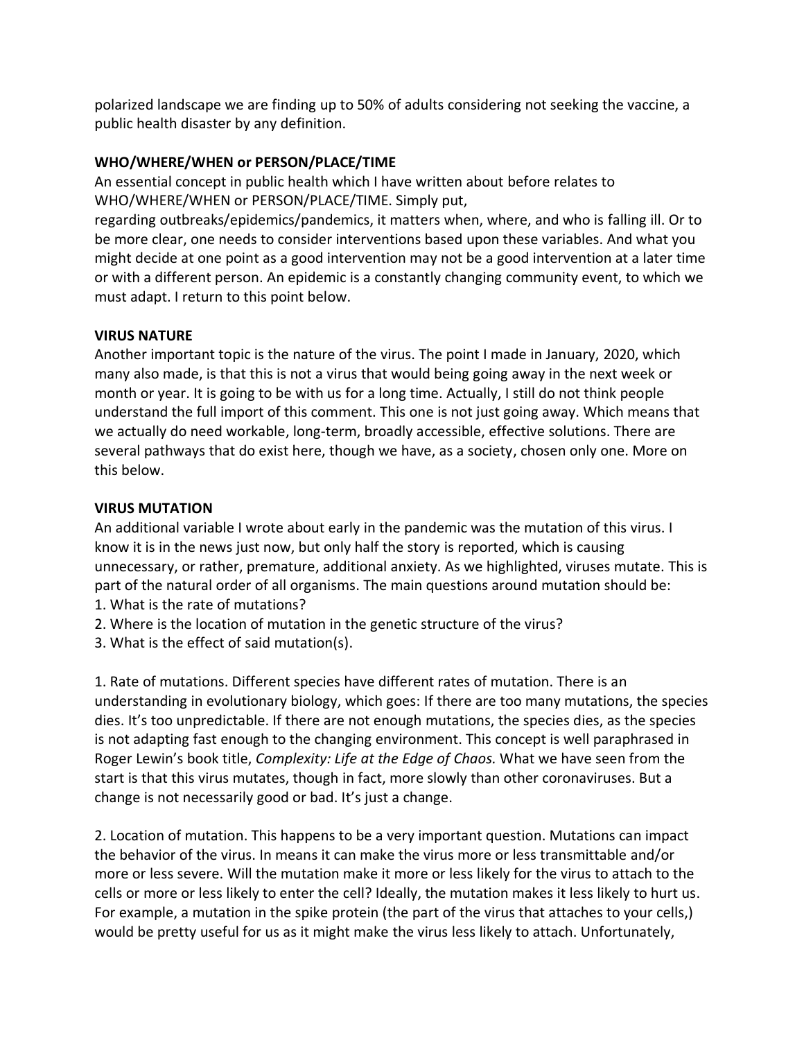polarized landscape we are finding up to 50% of adults considering not seeking the vaccine, a public health disaster by any definition.

# **WHO/WHERE/WHEN or PERSON/PLACE/TIME**

An essential concept in public health which I have written about before relates to WHO/WHERE/WHEN or PERSON/PLACE/TIME. Simply put,

regarding outbreaks/epidemics/pandemics, it matters when, where, and who is falling ill. Or to be more clear, one needs to consider interventions based upon these variables. And what you might decide at one point as a good intervention may not be a good intervention at a later time or with a different person. An epidemic is a constantly changing community event, to which we must adapt. I return to this point below.

# **VIRUS NATURE**

Another important topic is the nature of the virus. The point I made in January, 2020, which many also made, is that this is not a virus that would being going away in the next week or month or year. It is going to be with us for a long time. Actually, I still do not think people understand the full import of this comment. This one is not just going away. Which means that we actually do need workable, long-term, broadly accessible, effective solutions. There are several pathways that do exist here, though we have, as a society, chosen only one. More on this below.

# **VIRUS MUTATION**

An additional variable I wrote about early in the pandemic was the mutation of this virus. I know it is in the news just now, but only half the story is reported, which is causing unnecessary, or rather, premature, additional anxiety. As we highlighted, viruses mutate. This is part of the natural order of all organisms. The main questions around mutation should be: 1. What is the rate of mutations?

- 2. Where is the location of mutation in the genetic structure of the virus?
- 3. What is the effect of said mutation(s).

1. Rate of mutations. Different species have different rates of mutation. There is an understanding in evolutionary biology, which goes: If there are too many mutations, the species dies. It's too unpredictable. If there are not enough mutations, the species dies, as the species is not adapting fast enough to the changing environment. This concept is well paraphrased in Roger Lewin's book title, *Complexity: Life at the Edge of Chaos.* What we have seen from the start is that this virus mutates, though in fact, more slowly than other coronaviruses. But a change is not necessarily good or bad. It's just a change.

2. Location of mutation. This happens to be a very important question. Mutations can impact the behavior of the virus. In means it can make the virus more or less transmittable and/or more or less severe. Will the mutation make it more or less likely for the virus to attach to the cells or more or less likely to enter the cell? Ideally, the mutation makes it less likely to hurt us. For example, a mutation in the spike protein (the part of the virus that attaches to your cells,) would be pretty useful for us as it might make the virus less likely to attach. Unfortunately,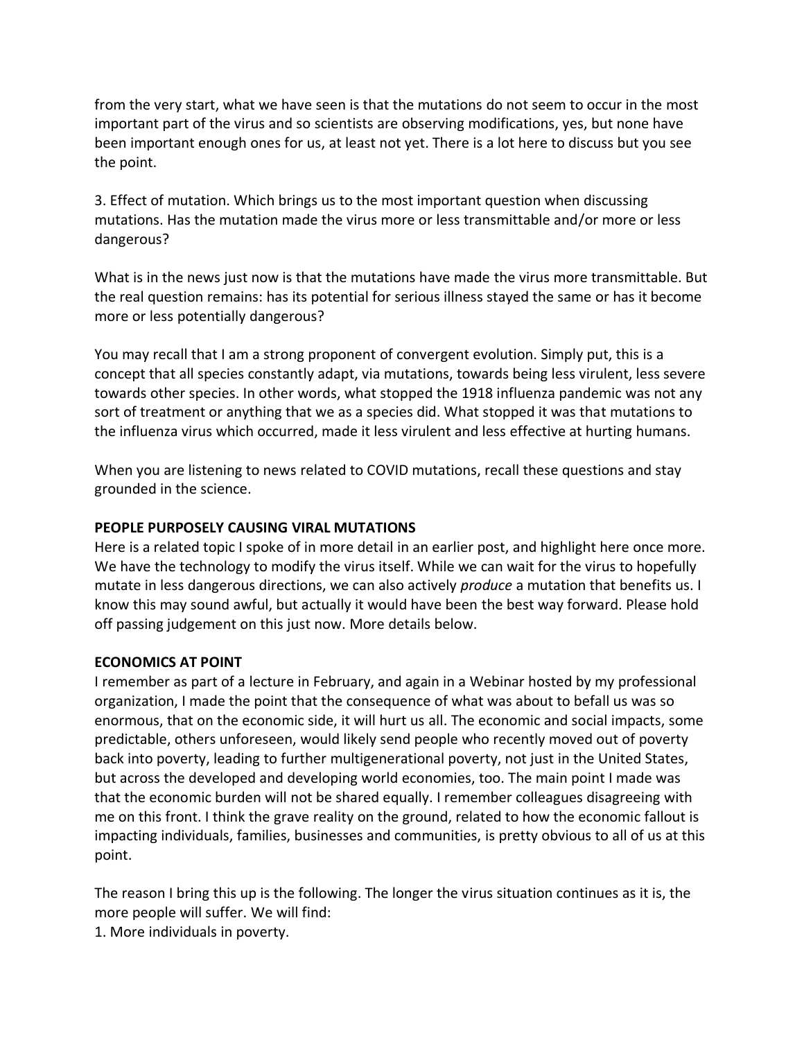from the very start, what we have seen is that the mutations do not seem to occur in the most important part of the virus and so scientists are observing modifications, yes, but none have been important enough ones for us, at least not yet. There is a lot here to discuss but you see the point.

3. Effect of mutation. Which brings us to the most important question when discussing mutations. Has the mutation made the virus more or less transmittable and/or more or less dangerous?

What is in the news just now is that the mutations have made the virus more transmittable. But the real question remains: has its potential for serious illness stayed the same or has it become more or less potentially dangerous?

You may recall that I am a strong proponent of convergent evolution. Simply put, this is a concept that all species constantly adapt, via mutations, towards being less virulent, less severe towards other species. In other words, what stopped the 1918 influenza pandemic was not any sort of treatment or anything that we as a species did. What stopped it was that mutations to the influenza virus which occurred, made it less virulent and less effective at hurting humans.

When you are listening to news related to COVID mutations, recall these questions and stay grounded in the science.

# **PEOPLE PURPOSELY CAUSING VIRAL MUTATIONS**

Here is a related topic I spoke of in more detail in an earlier post, and highlight here once more. We have the technology to modify the virus itself. While we can wait for the virus to hopefully mutate in less dangerous directions, we can also actively *produce* a mutation that benefits us. I know this may sound awful, but actually it would have been the best way forward. Please hold off passing judgement on this just now. More details below.

#### **ECONOMICS AT POINT**

I remember as part of a lecture in February, and again in a Webinar hosted by my professional organization, I made the point that the consequence of what was about to befall us was so enormous, that on the economic side, it will hurt us all. The economic and social impacts, some predictable, others unforeseen, would likely send people who recently moved out of poverty back into poverty, leading to further multigenerational poverty, not just in the United States, but across the developed and developing world economies, too. The main point I made was that the economic burden will not be shared equally. I remember colleagues disagreeing with me on this front. I think the grave reality on the ground, related to how the economic fallout is impacting individuals, families, businesses and communities, is pretty obvious to all of us at this point.

The reason I bring this up is the following. The longer the virus situation continues as it is, the more people will suffer. We will find:

1. More individuals in poverty.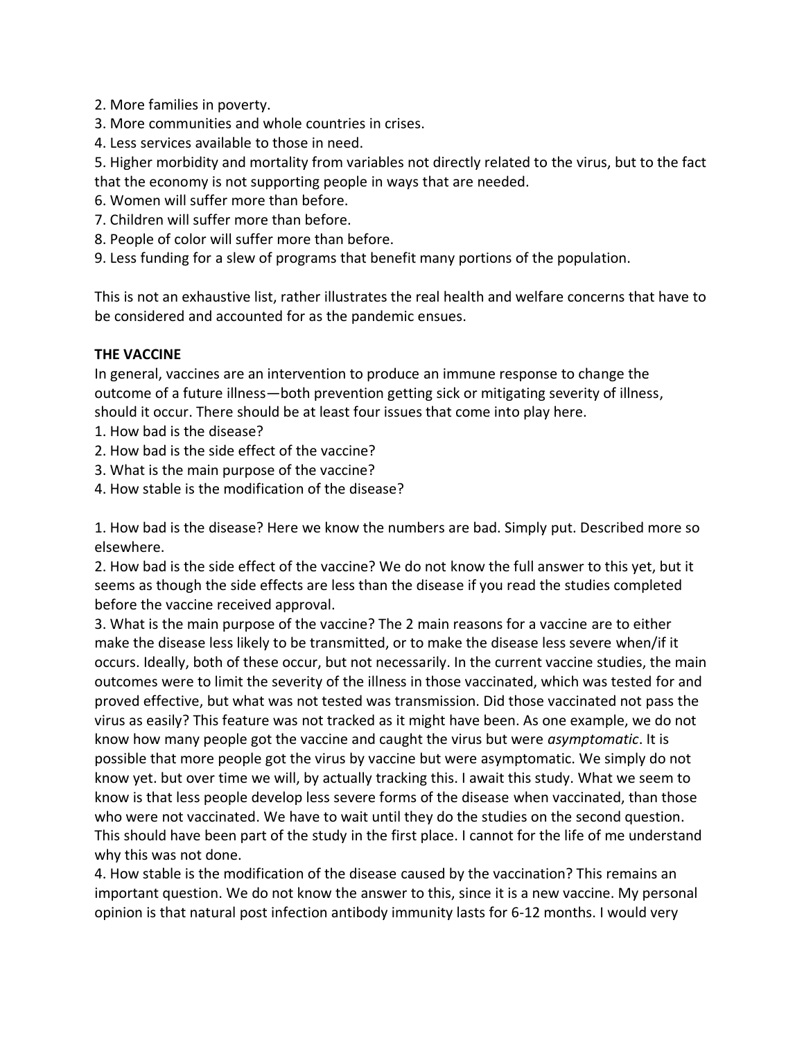- 2. More families in poverty.
- 3. More communities and whole countries in crises.
- 4. Less services available to those in need.
- 5. Higher morbidity and mortality from variables not directly related to the virus, but to the fact that the economy is not supporting people in ways that are needed.
- 6. Women will suffer more than before.
- 7. Children will suffer more than before.
- 8. People of color will suffer more than before.
- 9. Less funding for a slew of programs that benefit many portions of the population.

This is not an exhaustive list, rather illustrates the real health and welfare concerns that have to be considered and accounted for as the pandemic ensues.

### **THE VACCINE**

In general, vaccines are an intervention to produce an immune response to change the outcome of a future illness—both prevention getting sick or mitigating severity of illness, should it occur. There should be at least four issues that come into play here.

- 1. How bad is the disease?
- 2. How bad is the side effect of the vaccine?
- 3. What is the main purpose of the vaccine?
- 4. How stable is the modification of the disease?

1. How bad is the disease? Here we know the numbers are bad. Simply put. Described more so elsewhere.

2. How bad is the side effect of the vaccine? We do not know the full answer to this yet, but it seems as though the side effects are less than the disease if you read the studies completed before the vaccine received approval.

3. What is the main purpose of the vaccine? The 2 main reasons for a vaccine are to either make the disease less likely to be transmitted, or to make the disease less severe when/if it occurs. Ideally, both of these occur, but not necessarily. In the current vaccine studies, the main outcomes were to limit the severity of the illness in those vaccinated, which was tested for and proved effective, but what was not tested was transmission. Did those vaccinated not pass the virus as easily? This feature was not tracked as it might have been. As one example, we do not know how many people got the vaccine and caught the virus but were *asymptomatic*. It is possible that more people got the virus by vaccine but were asymptomatic. We simply do not know yet. but over time we will, by actually tracking this. I await this study. What we seem to know is that less people develop less severe forms of the disease when vaccinated, than those who were not vaccinated. We have to wait until they do the studies on the second question. This should have been part of the study in the first place. I cannot for the life of me understand why this was not done.

4. How stable is the modification of the disease caused by the vaccination? This remains an important question. We do not know the answer to this, since it is a new vaccine. My personal opinion is that natural post infection antibody immunity lasts for 6-12 months. I would very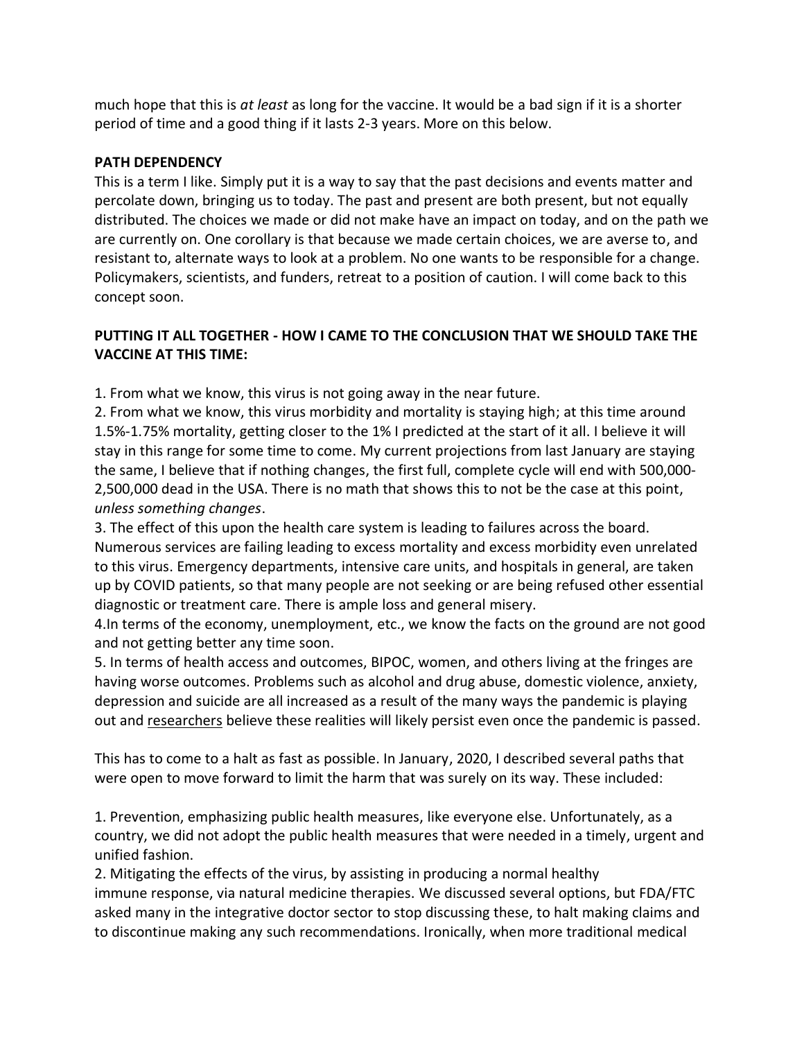much hope that this is *at least* as long for the vaccine. It would be a bad sign if it is a shorter period of time and a good thing if it lasts 2-3 years. More on this below.

### **PATH DEPENDENCY**

This is a term I like. Simply put it is a way to say that the past decisions and events matter and percolate down, bringing us to today. The past and present are both present, but not equally distributed. The choices we made or did not make have an impact on today, and on the path we are currently on. One corollary is that because we made certain choices, we are averse to, and resistant to, alternate ways to look at a problem. No one wants to be responsible for a change. Policymakers, scientists, and funders, retreat to a position of caution. I will come back to this concept soon.

# **PUTTING IT ALL TOGETHER - HOW I CAME TO THE CONCLUSION THAT WE SHOULD TAKE THE VACCINE AT THIS TIME:**

1. From what we know, this virus is not going away in the near future.

2. From what we know, this virus morbidity and mortality is staying high; at this time around 1.5%-1.75% mortality, getting closer to the 1% I predicted at the start of it all. I believe it will stay in this range for some time to come. My current projections from last January are staying the same, I believe that if nothing changes, the first full, complete cycle will end with 500,000- 2,500,000 dead in the USA. There is no math that shows this to not be the case at this point, *unless something changes*.

3. The effect of this upon the health care system is leading to failures across the board. Numerous services are failing leading to excess mortality and excess morbidity even unrelated to this virus. Emergency departments, intensive care units, and hospitals in general, are taken up by COVID patients, so that many people are not seeking or are being refused other essential diagnostic or treatment care. There is ample loss and general misery.

4.In terms of the economy, unemployment, etc., we know the facts on the ground are not good and not getting better any time soon.

5. In terms of health access and outcomes, BIPOC, women, and others living at the fringes are having worse outcomes. Problems such as alcohol and drug abuse, domestic violence, anxiety, depression and suicide are all increased as a result of the many ways the pandemic is playing out and [researchers](https://pubmed.ncbi.nlm.nih.gov/32539153/) believe these realities will likely persist even once the pandemic is passed.

This has to come to a halt as fast as possible. In January, 2020, I described several paths that were open to move forward to limit the harm that was surely on its way. These included:

1. Prevention, emphasizing public health measures, like everyone else. Unfortunately, as a country, we did not adopt the public health measures that were needed in a timely, urgent and unified fashion.

2. Mitigating the effects of the virus, by assisting in producing a normal healthy immune response, via natural medicine therapies. We discussed several options, but FDA/FTC asked many in the integrative doctor sector to stop discussing these, to halt making claims and to discontinue making any such recommendations. Ironically, when more traditional medical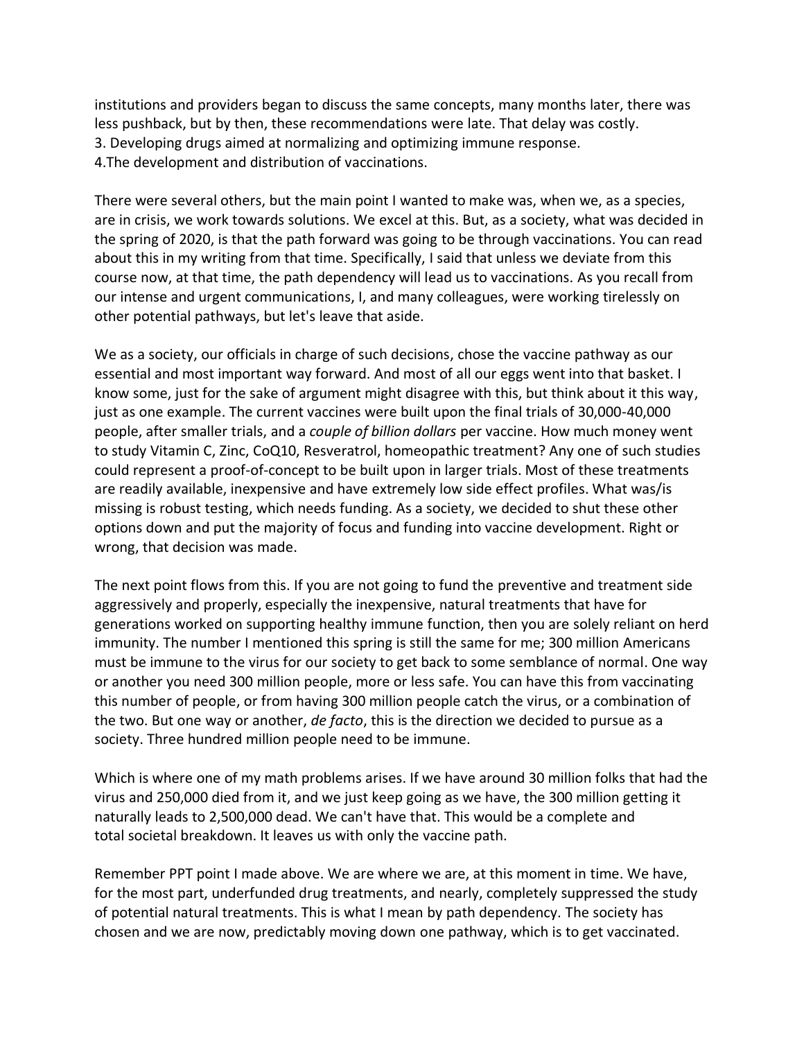institutions and providers began to discuss the same concepts, many months later, there was less pushback, but by then, these recommendations were late. That delay was costly. 3. Developing drugs aimed at normalizing and optimizing immune response. 4.The development and distribution of vaccinations.

There were several others, but the main point I wanted to make was, when we, as a species, are in crisis, we work towards solutions. We excel at this. But, as a society, what was decided in the spring of 2020, is that the path forward was going to be through vaccinations. You can read about this in my writing from that time. Specifically, I said that unless we deviate from this course now, at that time, the path dependency will lead us to vaccinations. As you recall from our intense and urgent communications, I, and many colleagues, were working tirelessly on other potential pathways, but let's leave that aside.

We as a society, our officials in charge of such decisions, chose the vaccine pathway as our essential and most important way forward. And most of all our eggs went into that basket. I know some, just for the sake of argument might disagree with this, but think about it this way, just as one example. The current vaccines were built upon the final trials of 30,000-40,000 people, after smaller trials, and a *couple of billion dollars* per vaccine. How much money went to study Vitamin C, Zinc, CoQ10, Resveratrol, homeopathic treatment? Any one of such studies could represent a proof-of-concept to be built upon in larger trials. Most of these treatments are readily available, inexpensive and have extremely low side effect profiles. What was/is missing is robust testing, which needs funding. As a society, we decided to shut these other options down and put the majority of focus and funding into vaccine development. Right or wrong, that decision was made.

The next point flows from this. If you are not going to fund the preventive and treatment side aggressively and properly, especially the inexpensive, natural treatments that have for generations worked on supporting healthy immune function, then you are solely reliant on herd immunity. The number I mentioned this spring is still the same for me; 300 million Americans must be immune to the virus for our society to get back to some semblance of normal. One way or another you need 300 million people, more or less safe. You can have this from vaccinating this number of people, or from having 300 million people catch the virus, or a combination of the two. But one way or another, *de facto*, this is the direction we decided to pursue as a society. Three hundred million people need to be immune.

Which is where one of my math problems arises. If we have around 30 million folks that had the virus and 250,000 died from it, and we just keep going as we have, the 300 million getting it naturally leads to 2,500,000 dead. We can't have that. This would be a complete and total societal breakdown. It leaves us with only the vaccine path.

Remember PPT point I made above. We are where we are, at this moment in time. We have, for the most part, underfunded drug treatments, and nearly, completely suppressed the study of potential natural treatments. This is what I mean by path dependency. The society has chosen and we are now, predictably moving down one pathway, which is to get vaccinated.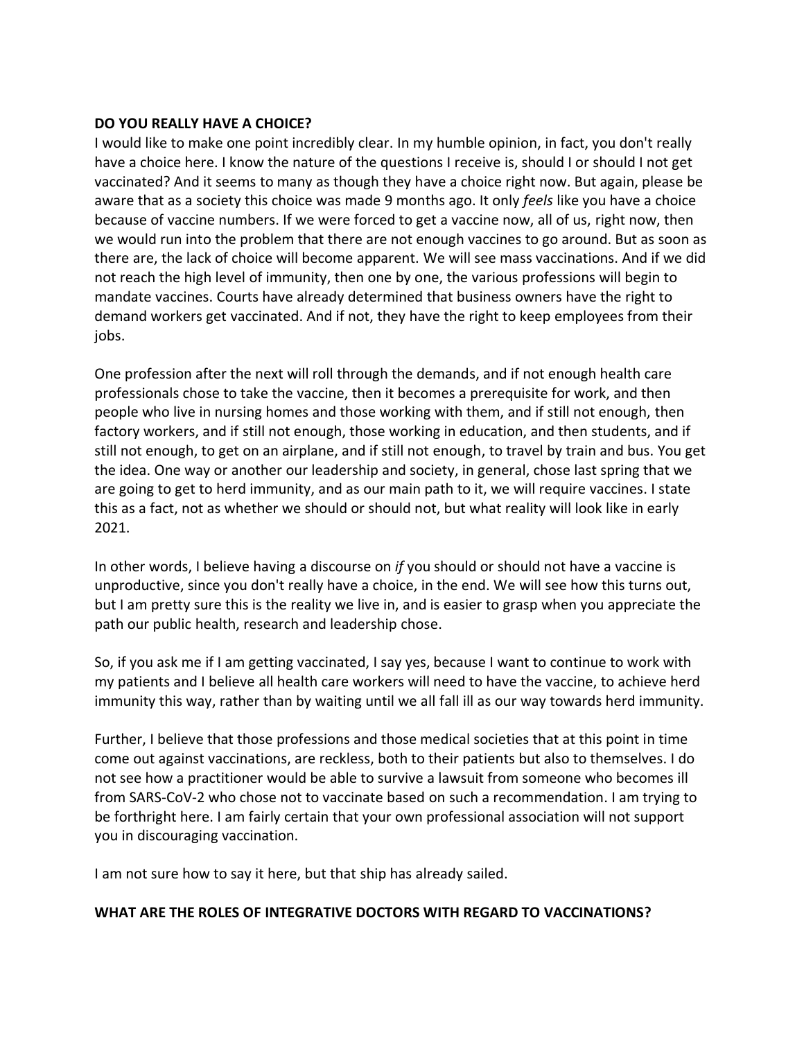#### **DO YOU REALLY HAVE A CHOICE?**

I would like to make one point incredibly clear. In my humble opinion, in fact, you don't really have a choice here. I know the nature of the questions I receive is, should I or should I not get vaccinated? And it seems to many as though they have a choice right now. But again, please be aware that as a society this choice was made 9 months ago. It only *feels* like you have a choice because of vaccine numbers. If we were forced to get a vaccine now, all of us, right now, then we would run into the problem that there are not enough vaccines to go around. But as soon as there are, the lack of choice will become apparent. We will see mass vaccinations. And if we did not reach the high level of immunity, then one by one, the various professions will begin to mandate vaccines. Courts have already determined that business owners have the right to demand workers get vaccinated. And if not, they have the right to keep employees from their jobs.

One profession after the next will roll through the demands, and if not enough health care professionals chose to take the vaccine, then it becomes a prerequisite for work, and then people who live in nursing homes and those working with them, and if still not enough, then factory workers, and if still not enough, those working in education, and then students, and if still not enough, to get on an airplane, and if still not enough, to travel by train and bus. You get the idea. One way or another our leadership and society, in general, chose last spring that we are going to get to herd immunity, and as our main path to it, we will require vaccines. I state this as a fact, not as whether we should or should not, but what reality will look like in early 2021.

In other words, I believe having a discourse on *if* you should or should not have a vaccine is unproductive, since you don't really have a choice, in the end. We will see how this turns out, but I am pretty sure this is the reality we live in, and is easier to grasp when you appreciate the path our public health, research and leadership chose.

So, if you ask me if I am getting vaccinated, I say yes, because I want to continue to work with my patients and I believe all health care workers will need to have the vaccine, to achieve herd immunity this way, rather than by waiting until we all fall ill as our way towards herd immunity.

Further, I believe that those professions and those medical societies that at this point in time come out against vaccinations, are reckless, both to their patients but also to themselves. I do not see how a practitioner would be able to survive a lawsuit from someone who becomes ill from SARS-CoV-2 who chose not to vaccinate based on such a recommendation. I am trying to be forthright here. I am fairly certain that your own professional association will not support you in discouraging vaccination.

I am not sure how to say it here, but that ship has already sailed.

#### **WHAT ARE THE ROLES OF INTEGRATIVE DOCTORS WITH REGARD TO VACCINATIONS?**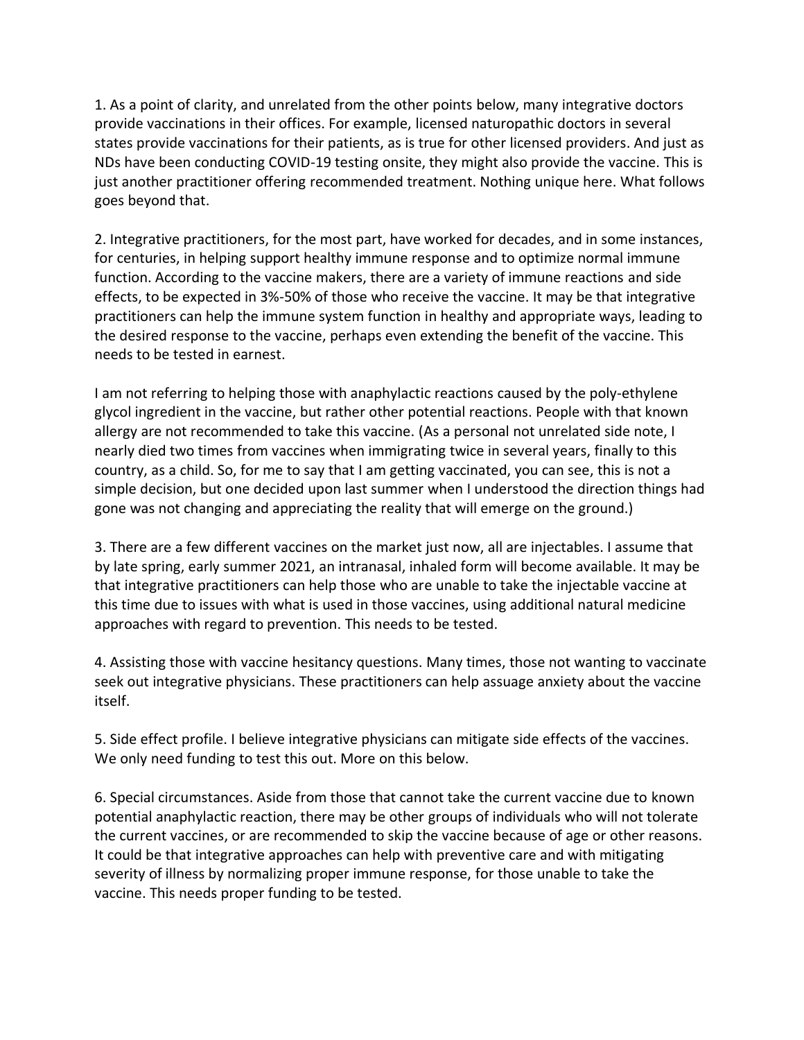1. As a point of clarity, and unrelated from the other points below, many integrative doctors provide vaccinations in their offices. For example, licensed naturopathic doctors in several states provide vaccinations for their patients, as is true for other licensed providers. And just as NDs have been conducting COVID-19 testing onsite, they might also provide the vaccine. This is just another practitioner offering recommended treatment. Nothing unique here. What follows goes beyond that.

2. Integrative practitioners, for the most part, have worked for decades, and in some instances, for centuries, in helping support healthy immune response and to optimize normal immune function. According to the vaccine makers, there are a variety of immune reactions and side effects, to be expected in 3%-50% of those who receive the vaccine. It may be that integrative practitioners can help the immune system function in healthy and appropriate ways, leading to the desired response to the vaccine, perhaps even extending the benefit of the vaccine. This needs to be tested in earnest.

I am not referring to helping those with anaphylactic reactions caused by the poly-ethylene glycol ingredient in the vaccine, but rather other potential reactions. People with that known allergy are not recommended to take this vaccine. (As a personal not unrelated side note, I nearly died two times from vaccines when immigrating twice in several years, finally to this country, as a child. So, for me to say that I am getting vaccinated, you can see, this is not a simple decision, but one decided upon last summer when I understood the direction things had gone was not changing and appreciating the reality that will emerge on the ground.)

3. There are a few different vaccines on the market just now, all are injectables. I assume that by late spring, early summer 2021, an intranasal, inhaled form will become available. It may be that integrative practitioners can help those who are unable to take the injectable vaccine at this time due to issues with what is used in those vaccines, using additional natural medicine approaches with regard to prevention. This needs to be tested.

4. Assisting those with vaccine hesitancy questions. Many times, those not wanting to vaccinate seek out integrative physicians. These practitioners can help assuage anxiety about the vaccine itself.

5. Side effect profile. I believe integrative physicians can mitigate side effects of the vaccines. We only need funding to test this out. More on this below.

6. Special circumstances. Aside from those that cannot take the current vaccine due to known potential anaphylactic reaction, there may be other groups of individuals who will not tolerate the current vaccines, or are recommended to skip the vaccine because of age or other reasons. It could be that integrative approaches can help with preventive care and with mitigating severity of illness by normalizing proper immune response, for those unable to take the vaccine. This needs proper funding to be tested.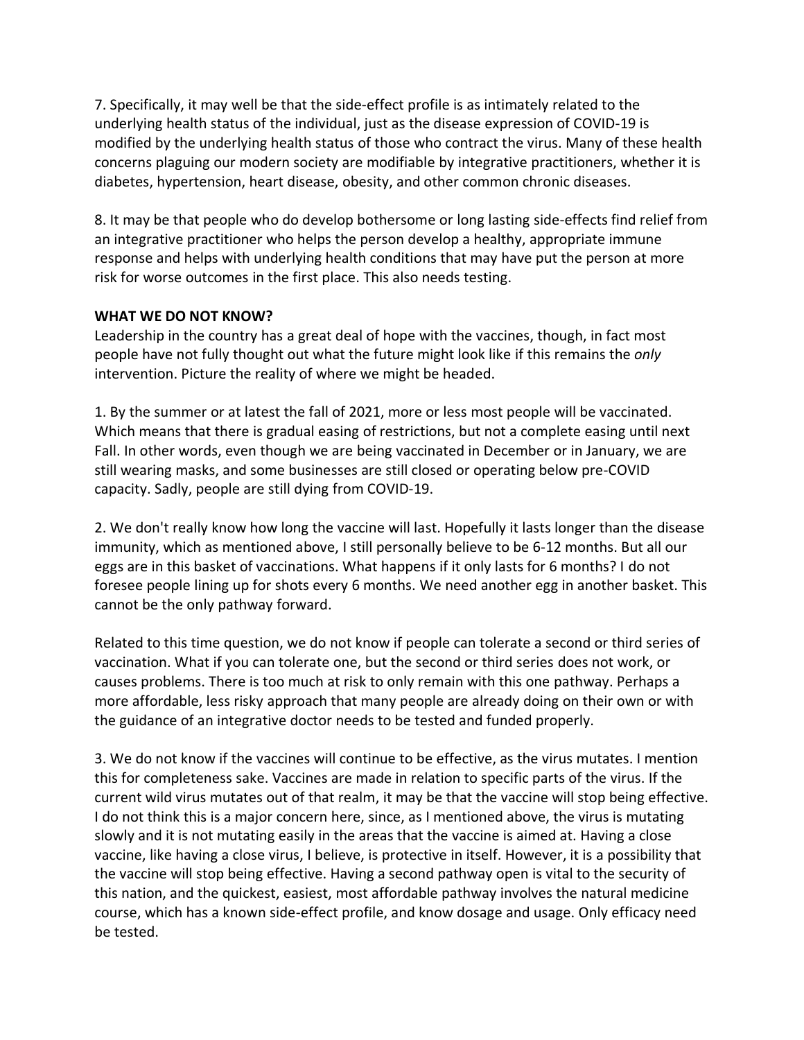7. Specifically, it may well be that the side-effect profile is as intimately related to the underlying health status of the individual, just as the disease expression of COVID-19 is modified by the underlying health status of those who contract the virus. Many of these health concerns plaguing our modern society are modifiable by integrative practitioners, whether it is diabetes, hypertension, heart disease, obesity, and other common chronic diseases.

8. It may be that people who do develop bothersome or long lasting side-effects find relief from an integrative practitioner who helps the person develop a healthy, appropriate immune response and helps with underlying health conditions that may have put the person at more risk for worse outcomes in the first place. This also needs testing.

### **WHAT WE DO NOT KNOW?**

Leadership in the country has a great deal of hope with the vaccines, though, in fact most people have not fully thought out what the future might look like if this remains the *only* intervention. Picture the reality of where we might be headed.

1. By the summer or at latest the fall of 2021, more or less most people will be vaccinated. Which means that there is gradual easing of restrictions, but not a complete easing until next Fall. In other words, even though we are being vaccinated in December or in January, we are still wearing masks, and some businesses are still closed or operating below pre-COVID capacity. Sadly, people are still dying from COVID-19.

2. We don't really know how long the vaccine will last. Hopefully it lasts longer than the disease immunity, which as mentioned above, I still personally believe to be 6-12 months. But all our eggs are in this basket of vaccinations. What happens if it only lasts for 6 months? I do not foresee people lining up for shots every 6 months. We need another egg in another basket. This cannot be the only pathway forward.

Related to this time question, we do not know if people can tolerate a second or third series of vaccination. What if you can tolerate one, but the second or third series does not work, or causes problems. There is too much at risk to only remain with this one pathway. Perhaps a more affordable, less risky approach that many people are already doing on their own or with the guidance of an integrative doctor needs to be tested and funded properly.

3. We do not know if the vaccines will continue to be effective, as the virus mutates. I mention this for completeness sake. Vaccines are made in relation to specific parts of the virus. If the current wild virus mutates out of that realm, it may be that the vaccine will stop being effective. I do not think this is a major concern here, since, as I mentioned above, the virus is mutating slowly and it is not mutating easily in the areas that the vaccine is aimed at. Having a close vaccine, like having a close virus, I believe, is protective in itself. However, it is a possibility that the vaccine will stop being effective. Having a second pathway open is vital to the security of this nation, and the quickest, easiest, most affordable pathway involves the natural medicine course, which has a known side-effect profile, and know dosage and usage. Only efficacy need be tested.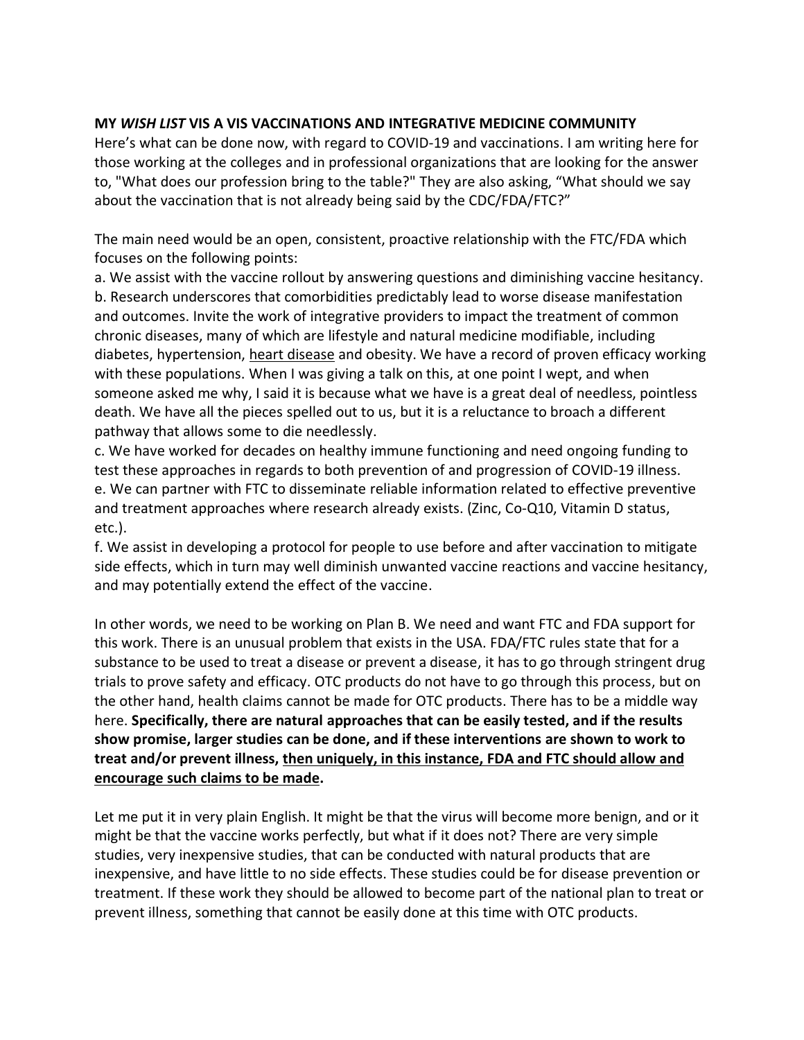### **MY** *WISH LIST* **VIS A VIS VACCINATIONS AND INTEGRATIVE MEDICINE COMMUNITY**

Here's what can be done now, with regard to COVID-19 and vaccinations. I am writing here for those working at the colleges and in professional organizations that are looking for the answer to, "What does our profession bring to the table?" They are also asking, "What should we say about the vaccination that is not already being said by the CDC/FDA/FTC?"

The main need would be an open, consistent, proactive relationship with the FTC/FDA which focuses on the following points:

a. We assist with the vaccine rollout by answering questions and diminishing vaccine hesitancy. b. Research underscores that comorbidities predictably lead to worse disease manifestation and outcomes. Invite the work of integrative providers to impact the treatment of common chronic diseases, many of which are lifestyle and natural medicine modifiable, including diabetes, hypertension, [heart disease](https://www.ncbi.nlm.nih.gov/pmc/articles/PMC3921268/) and obesity. We have a record of proven efficacy working with these populations. When I was giving a talk on this, at one point I wept, and when someone asked me why, I said it is because what we have is a great deal of needless, pointless death. We have all the pieces spelled out to us, but it is a reluctance to broach a different pathway that allows some to die needlessly.

c. We have worked for decades on healthy immune functioning and need ongoing funding to test these approaches in regards to both prevention of and progression of COVID-19 illness. e. We can partner with FTC to disseminate reliable information related to effective preventive and treatment approaches where research already exists. (Zinc, Co-Q10, Vitamin D status, etc.).

f. We assist in developing a protocol for people to use before and after vaccination to mitigate side effects, which in turn may well diminish unwanted vaccine reactions and vaccine hesitancy, and may potentially extend the effect of the vaccine.

In other words, we need to be working on Plan B. We need and want FTC and FDA support for this work. There is an unusual problem that exists in the USA. FDA/FTC rules state that for a substance to be used to treat a disease or prevent a disease, it has to go through stringent drug trials to prove safety and efficacy. OTC products do not have to go through this process, but on the other hand, health claims cannot be made for OTC products. There has to be a middle way here. **Specifically, there are natural approaches that can be easily tested, and if the results show promise, larger studies can be done, and if these interventions are shown to work to treat and/or prevent illness, then uniquely, in this instance, FDA and FTC should allow and encourage such claims to be made.** 

Let me put it in very plain English. It might be that the virus will become more benign, and or it might be that the vaccine works perfectly, but what if it does not? There are very simple studies, very inexpensive studies, that can be conducted with natural products that are inexpensive, and have little to no side effects. These studies could be for disease prevention or treatment. If these work they should be allowed to become part of the national plan to treat or prevent illness, something that cannot be easily done at this time with OTC products.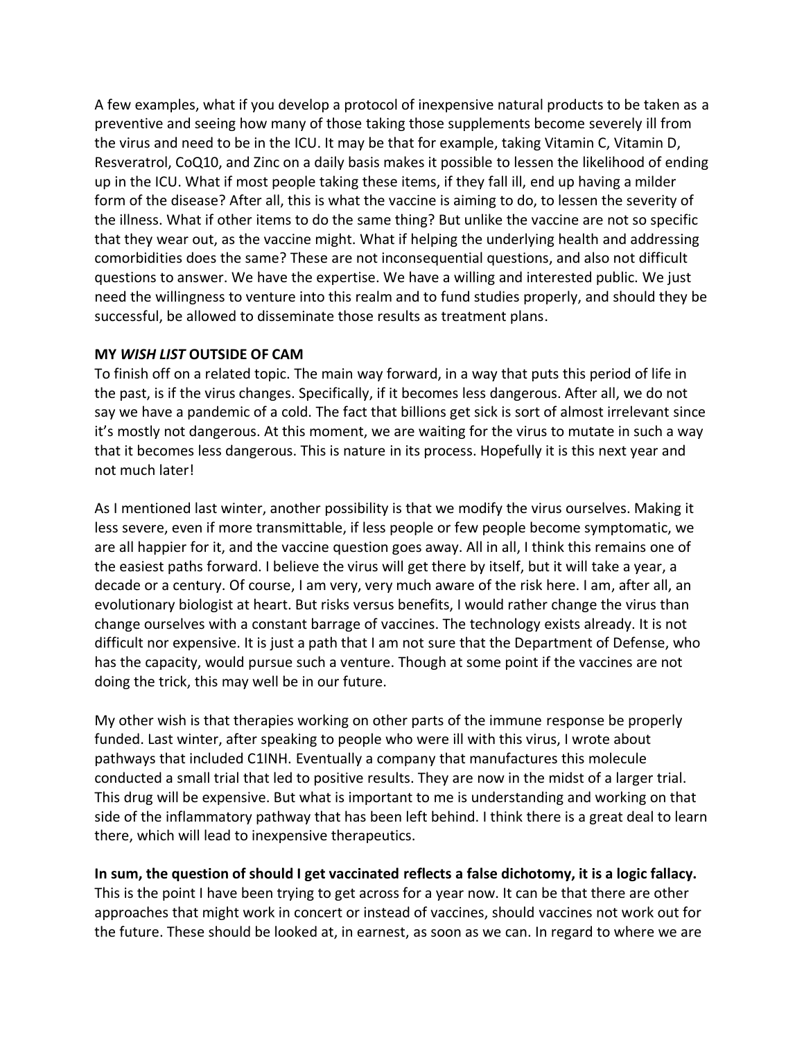A few examples, what if you develop a protocol of inexpensive natural products to be taken as a preventive and seeing how many of those taking those supplements become severely ill from the virus and need to be in the ICU. It may be that for example, taking Vitamin C, Vitamin D, Resveratrol, CoQ10, and Zinc on a daily basis makes it possible to lessen the likelihood of ending up in the ICU. What if most people taking these items, if they fall ill, end up having a milder form of the disease? After all, this is what the vaccine is aiming to do, to lessen the severity of the illness. What if other items to do the same thing? But unlike the vaccine are not so specific that they wear out, as the vaccine might. What if helping the underlying health and addressing comorbidities does the same? These are not inconsequential questions, and also not difficult questions to answer. We have the expertise. We have a willing and interested public. We just need the willingness to venture into this realm and to fund studies properly, and should they be successful, be allowed to disseminate those results as treatment plans.

#### **MY** *WISH LIST* **OUTSIDE OF CAM**

To finish off on a related topic. The main way forward, in a way that puts this period of life in the past, is if the virus changes. Specifically, if it becomes less dangerous. After all, we do not say we have a pandemic of a cold. The fact that billions get sick is sort of almost irrelevant since it's mostly not dangerous. At this moment, we are waiting for the virus to mutate in such a way that it becomes less dangerous. This is nature in its process. Hopefully it is this next year and not much later!

As I mentioned last winter, another possibility is that we modify the virus ourselves. Making it less severe, even if more transmittable, if less people or few people become symptomatic, we are all happier for it, and the vaccine question goes away. All in all, I think this remains one of the easiest paths forward. I believe the virus will get there by itself, but it will take a year, a decade or a century. Of course, I am very, very much aware of the risk here. I am, after all, an evolutionary biologist at heart. But risks versus benefits, I would rather change the virus than change ourselves with a constant barrage of vaccines. The technology exists already. It is not difficult nor expensive. It is just a path that I am not sure that the Department of Defense, who has the capacity, would pursue such a venture. Though at some point if the vaccines are not doing the trick, this may well be in our future.

My other wish is that therapies working on other parts of the immune response be properly funded. Last winter, after speaking to people who were ill with this virus, I wrote about pathways that included C1INH. Eventually a company that manufactures this molecule conducted a small trial that led to positive results. They are now in the midst of a larger trial. This drug will be expensive. But what is important to me is understanding and working on that side of the inflammatory pathway that has been left behind. I think there is a great deal to learn there, which will lead to inexpensive therapeutics.

# **In sum, the question of should I get vaccinated reflects a false dichotomy, it is a logic fallacy.**

This is the point I have been trying to get across for a year now. It can be that there are other approaches that might work in concert or instead of vaccines, should vaccines not work out for the future. These should be looked at, in earnest, as soon as we can. In regard to where we are